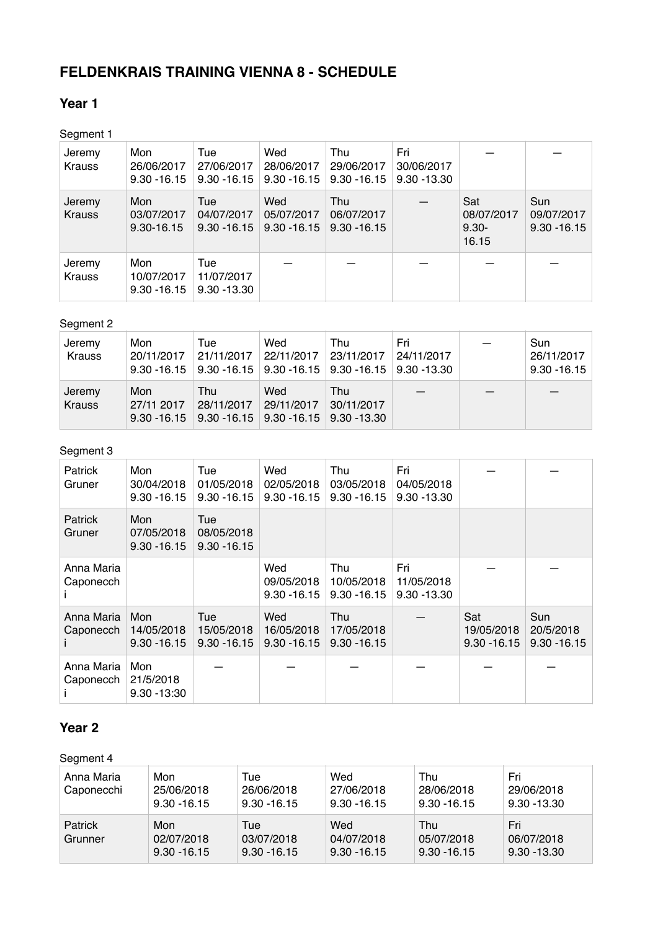# **FELDENKRAIS TRAINING VIENNA 8 - SCHEDULE**

### **Year 1**

Segment 1

| Jeremy<br><b>Krauss</b> | Mon<br>26/06/2017<br>$9.30 - 16.15$ | Tue<br>27/06/2017<br>$9.30 - 16.15$ | Wed<br>28/06/2017<br>$9.30 - 16.15$ | Thu<br>29/06/2017<br>$9.30 - 16.15$ | Fri<br>30/06/2017<br>$9.30 - 13.30$ |                                        |                                     |
|-------------------------|-------------------------------------|-------------------------------------|-------------------------------------|-------------------------------------|-------------------------------------|----------------------------------------|-------------------------------------|
| Jeremy<br><b>Krauss</b> | Mon<br>03/07/2017<br>9.30-16.15     | Tue<br>04/07/2017<br>$9.30 - 16.15$ | Wed<br>05/07/2017<br>$9.30 - 16.15$ | Thu<br>06/07/2017<br>$9.30 - 16.15$ |                                     | Sat<br>08/07/2017<br>$9.30 -$<br>16.15 | Sun<br>09/07/2017<br>$9.30 - 16.15$ |
| Jeremy<br><b>Krauss</b> | Mon<br>10/07/2017<br>$9.30 - 16.15$ | Tue<br>11/07/2017<br>$9.30 - 13.30$ |                                     |                                     |                                     |                                        |                                     |

#### Segment 2

| Jeremy<br>Krauss        | Mon<br>20/11/2017 | Tue                                                                                                            | Wed | Thu<br>21/11/2017 22/11/2017 23/11/2017 24/11/2017<br>$9.30 - 16.15$ $9.30 - 16.15$ $9.30 - 16.15$ $9.30 - 16.15$ $9.30 - 13.30$ | Fri | Sun<br>26/11/2017<br>$9.30 - 16.15$ |
|-------------------------|-------------------|----------------------------------------------------------------------------------------------------------------|-----|----------------------------------------------------------------------------------------------------------------------------------|-----|-------------------------------------|
| Jeremy<br><b>Krauss</b> | Mon<br>27/11 2017 | <b>Thu</b><br>  28/11/2017   29/11/2017  <br>$9.30 - 16.15$   $9.30 - 16.15$   $9.30 - 16.15$   $9.30 - 13.30$ | Wed | Thu<br> 30/11/2017                                                                                                               |     |                                     |

#### Segment 3

| Patrick<br>Gruner        | Mon<br>30/04/2018<br>$9.30 - 16.15$ | Tue<br>01/05/2018<br>$9.30 - 16.15$ | Wed<br>02/05/2018<br>$9.30 - 16.15$ | Thu<br>03/05/2018<br>$9.30 - 16.15$        | Fri<br>04/05/2018<br>$9.30 - 13.30$ |                                     |                                    |
|--------------------------|-------------------------------------|-------------------------------------|-------------------------------------|--------------------------------------------|-------------------------------------|-------------------------------------|------------------------------------|
| <b>Patrick</b><br>Gruner | Mon<br>07/05/2018<br>$9.30 - 16.15$ | Tue<br>08/05/2018<br>$9.30 - 16.15$ |                                     |                                            |                                     |                                     |                                    |
| Anna Maria<br>Caponecch  |                                     |                                     | Wed<br>09/05/2018<br>$9.30 - 16.15$ | Thu<br>10/05/2018<br>$9.30 - 16.15$        | Fri<br>11/05/2018<br>$9.30 - 13.30$ |                                     |                                    |
| Anna Maria<br>Caponecch  | Mon<br>14/05/2018<br>$9.30 - 16.15$ | Tue<br>15/05/2018<br>$9.30 - 16.15$ | Wed<br>16/05/2018<br>$9.30 - 16.15$ | <b>Thu</b><br>17/05/2018<br>$9.30 - 16.15$ |                                     | Sat<br>19/05/2018<br>$9.30 - 16.15$ | Sun<br>20/5/2018<br>$9.30 - 16.15$ |
| Anna Maria<br>Caponecch  | Mon<br>21/5/2018<br>$9.30 - 13.30$  |                                     |                                     |                                            |                                     |                                     |                                    |

### **Year 2**

#### Segment 4

| Anna Maria<br>Caponecchi  | Mon<br>25/06/2018<br>$9.30 - 16.15$ | Tue<br>26/06/2018<br>$9.30 - 16.15$ | Wed<br>27/06/2018<br>$9.30 - 16.15$ | Thu<br>28/06/2018<br>$9.30 - 16.15$ | Fri<br>29/06/2018<br>$9.30 - 13.30$ |
|---------------------------|-------------------------------------|-------------------------------------|-------------------------------------|-------------------------------------|-------------------------------------|
| <b>Patrick</b><br>Grunner | Mon<br>02/07/2018<br>$9.30 - 16.15$ | Tue<br>03/07/2018<br>$9.30 - 16.15$ | Wed<br>04/07/2018<br>$9.30 - 16.15$ | Thu<br>05/07/2018<br>$9.30 - 16.15$ | Fri<br>06/07/2018<br>$9.30 - 13.30$ |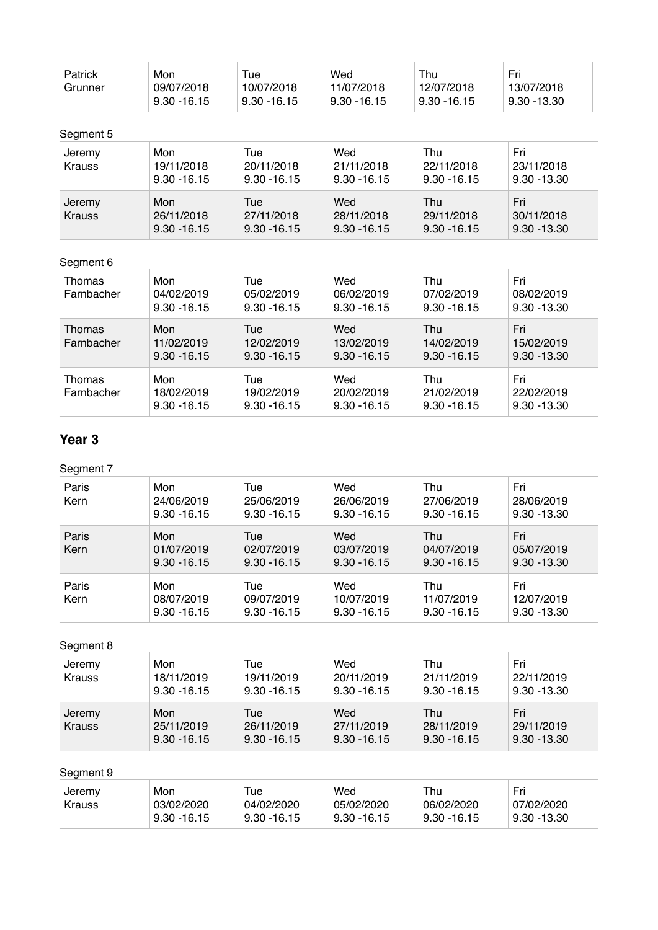| Patrick | Mon            | Tue            | Wed            | Thu           | Fri         |
|---------|----------------|----------------|----------------|---------------|-------------|
| Grunner | 09/07/2018     | 10/07/2018     | 11/07/2018     | 12/07/2018    | 13/07/2018  |
|         | $9.30 - 16.15$ | $9.30 - 16.15$ | $9.30 - 16.15$ | ' 9.30 -16.15 | 9.30 -13.30 |

#### Segment 5

| Jeremy<br><b>Krauss</b> | Mon<br>19/11/2018<br>$9.30 - 16.15$ | Tue<br>20/11/2018<br>$9.30 - 16.15$ | Wed<br>21/11/2018<br>$9.30 - 16.15$ | Thu<br>22/11/2018<br>$9.30 - 16.15$ | Fri<br>23/11/2018<br>$9.30 - 13.30$ |
|-------------------------|-------------------------------------|-------------------------------------|-------------------------------------|-------------------------------------|-------------------------------------|
| Jeremy<br><b>Krauss</b> | Mon<br>26/11/2018<br>$9.30 - 16.15$ | Tue<br>27/11/2018<br>$9.30 - 16.15$ | Wed<br>28/11/2018<br>$9.30 - 16.15$ | Thu<br>29/11/2018<br>$9.30 - 16.15$ | Fri<br>30/11/2018<br>$9.30 - 13.30$ |

### Segment 6

| Thomas<br>Farnbacher | Mon<br>04/02/2019<br>$9.30 - 16.15$ | Tue<br>05/02/2019<br>$9.30 - 16.15$ | Wed<br>06/02/2019<br>$9.30 - 16.15$ | Thu<br>07/02/2019<br>$9.30 - 16.15$ | Fri<br>08/02/2019<br>$9.30 - 13.30$ |
|----------------------|-------------------------------------|-------------------------------------|-------------------------------------|-------------------------------------|-------------------------------------|
| Thomas<br>Farnbacher | Mon<br>11/02/2019<br>$9.30 - 16.15$ | Tue<br>12/02/2019<br>$9.30 - 16.15$ | Wed<br>13/02/2019<br>$9.30 - 16.15$ | Thu<br>14/02/2019<br>$9.30 - 16.15$ | Fri<br>15/02/2019<br>$9.30 - 13.30$ |
| Thomas<br>Farnbacher | Mon<br>18/02/2019<br>$9.30 - 16.15$ | Tue<br>19/02/2019<br>$9.30 - 16.15$ | Wed<br>20/02/2019<br>$9.30 - 16.15$ | Thu<br>21/02/2019<br>$9.30 - 16.15$ | Fri<br>22/02/2019<br>$9.30 - 13.30$ |

## **Year 3**

## Segment 7

| Paris<br>Kern | Mon<br>24/06/2019<br>$9.30 - 16.15$ | Tue<br>25/06/2019<br>$9.30 - 16.15$ | Wed<br>26/06/2019<br>$9.30 - 16.15$ | Thu<br>27/06/2019<br>$9.30 - 16.15$ | Fri<br>28/06/2019<br>$9.30 - 13.30$ |
|---------------|-------------------------------------|-------------------------------------|-------------------------------------|-------------------------------------|-------------------------------------|
| Paris<br>Kern | Mon<br>01/07/2019<br>$9.30 - 16.15$ | Tue<br>02/07/2019<br>$9.30 - 16.15$ | Wed<br>03/07/2019<br>$9.30 - 16.15$ | Thu<br>04/07/2019<br>$9.30 - 16.15$ | Fri<br>05/07/2019<br>$9.30 - 13.30$ |
| Paris<br>Kern | Mon<br>08/07/2019<br>$9.30 - 16.15$ | Tue<br>09/07/2019<br>$9.30 - 16.15$ | Wed<br>10/07/2019<br>$9.30 - 16.15$ | Thu<br>11/07/2019<br>$9.30 - 16.15$ | Fri<br>12/07/2019<br>$9.30 - 13.30$ |

#### Segment 8

| Jeremy<br><b>Krauss</b> | Mon<br>18/11/2019<br>$9.30 - 16.15$ | Tue<br>19/11/2019<br>$9.30 - 16.15$ | Wed<br>20/11/2019<br>$9.30 - 16.15$ | Thu<br>21/11/2019<br>$9.30 - 16.15$ | Fri<br>22/11/2019<br>$9.30 - 13.30$ |
|-------------------------|-------------------------------------|-------------------------------------|-------------------------------------|-------------------------------------|-------------------------------------|
| Jeremy<br><b>Krauss</b> | Mon<br>25/11/2019<br>$9.30 - 16.15$ | Tue<br>26/11/2019<br>$9.30 - 16.15$ | Wed<br>27/11/2019<br>$9.30 - 16.15$ | Thu<br>28/11/2019<br>$9.30 - 16.15$ | Fri<br>29/11/2019<br>$9.30 - 13.30$ |

## Segment 9

| Jeremy        | Mon            | Tue            | Wed            | Thu           | Fri         |
|---------------|----------------|----------------|----------------|---------------|-------------|
| <b>Krauss</b> | 03/02/2020     | 04/02/2020     | 05/02/2020     | 06/02/2020    | 07/02/2020  |
|               | $9.30 - 16.15$ | $9.30 - 16.15$ | $9.30 - 16.15$ | ່ 9.30 -16.15 | 9.30 -13.30 |